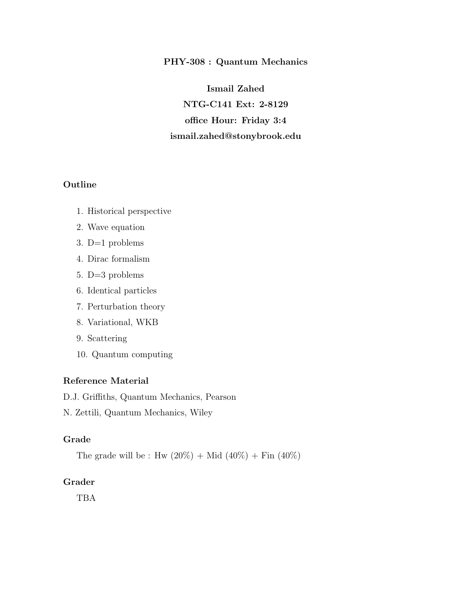### PHY-308 : Quantum Mechanics

Ismail Zahed NTG-C141 Ext: 2-8129 office Hour: Friday 3:4 ismail.zahed@stonybrook.edu

# Outline

- 1. Historical perspective
- 2. Wave equation
- 3. D=1 problems
- 4. Dirac formalism
- 5. D=3 problems
- 6. Identical particles
- 7. Perturbation theory
- 8. Variational, WKB
- 9. Scattering
- 10. Quantum computing

## Reference Material

D.J. Griffiths, Quantum Mechanics, Pearson

N. Zettili, Quantum Mechanics, Wiley

### Grade

The grade will be : Hw  $(20\%) + Mid (40\%) + Fin (40\%)$ 

## Grader

TBA